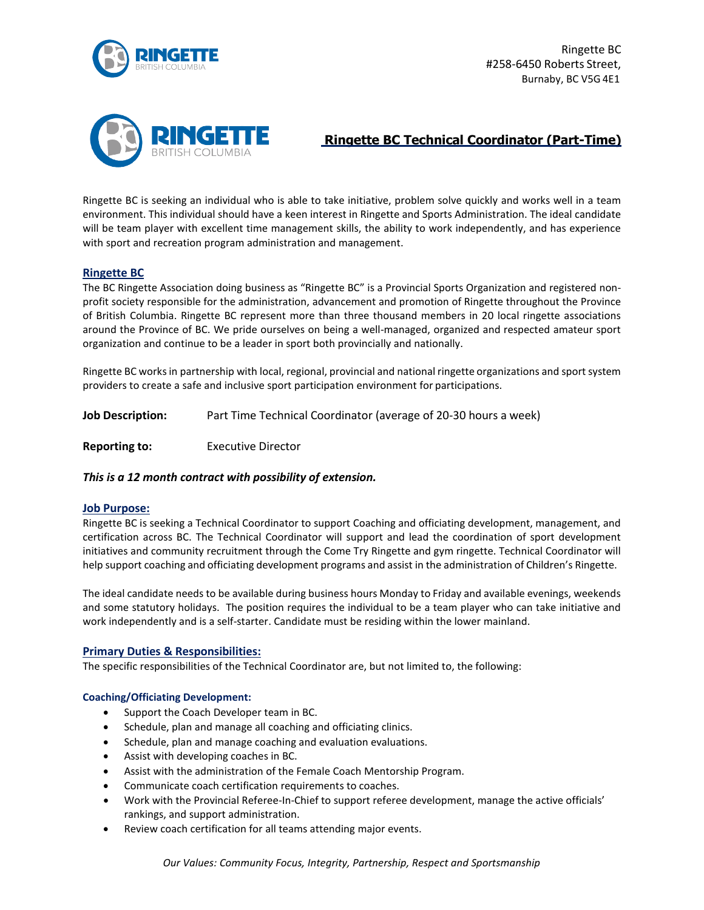



# **Ringette BC Technical Coordinator (Part-Time)**

Ringette BC is seeking an individual who is able to take initiative, problem solve quickly and works well in a team environment. This individual should have a keen interest in Ringette and Sports Administration. The ideal candidate will be team player with excellent time management skills, the ability to work independently, and has experience with sport and recreation program administration and management.

# **Ringette BC**

The BC Ringette Association doing business as "Ringette BC" is a Provincial Sports Organization and registered nonprofit society responsible for the administration, advancement and promotion of Ringette throughout the Province of British Columbia. Ringette BC represent more than three thousand members in 20 local ringette associations around the Province of BC. We pride ourselves on being a well-managed, organized and respected amateur sport organization and continue to be a leader in sport both provincially and nationally.

Ringette BC worksin partnership with local, regional, provincial and national ringette organizations and sport system providers to create a safe and inclusive sport participation environment for participations.

**Job Description:** Part Time Technical Coordinator (average of 20-30 hours a week)

**Reporting to:** Executive Director

# *This is a 12 month contract with possibility of extension.*

# **Job Purpose:**

Ringette BC is seeking a Technical Coordinator to support Coaching and officiating development, management, and certification across BC. The Technical Coordinator will support and lead the coordination of sport development initiatives and community recruitment through the Come Try Ringette and gym ringette. Technical Coordinator will help support coaching and officiating development programs and assist in the administration of Children's Ringette.

The ideal candidate needs to be available during business hours Monday to Friday and available evenings, weekends and some statutory holidays. The position requires the individual to be a team player who can take initiative and work independently and is a self-starter. Candidate must be residing within the lower mainland.

# **Primary Duties & Responsibilities:**

The specific responsibilities of the Technical Coordinator are, but not limited to, the following:

# **Coaching/Officiating Development:**

- Support the Coach Developer team in BC.
- Schedule, plan and manage all coaching and officiating clinics.
- Schedule, plan and manage coaching and evaluation evaluations.
- Assist with developing coaches in BC.
- Assist with the administration of the Female Coach Mentorship Program.
- Communicate coach certification requirements to coaches.
- Work with the Provincial Referee-In-Chief to support referee development, manage the active officials' rankings, and support administration.
- Review coach certification for all teams attending major events.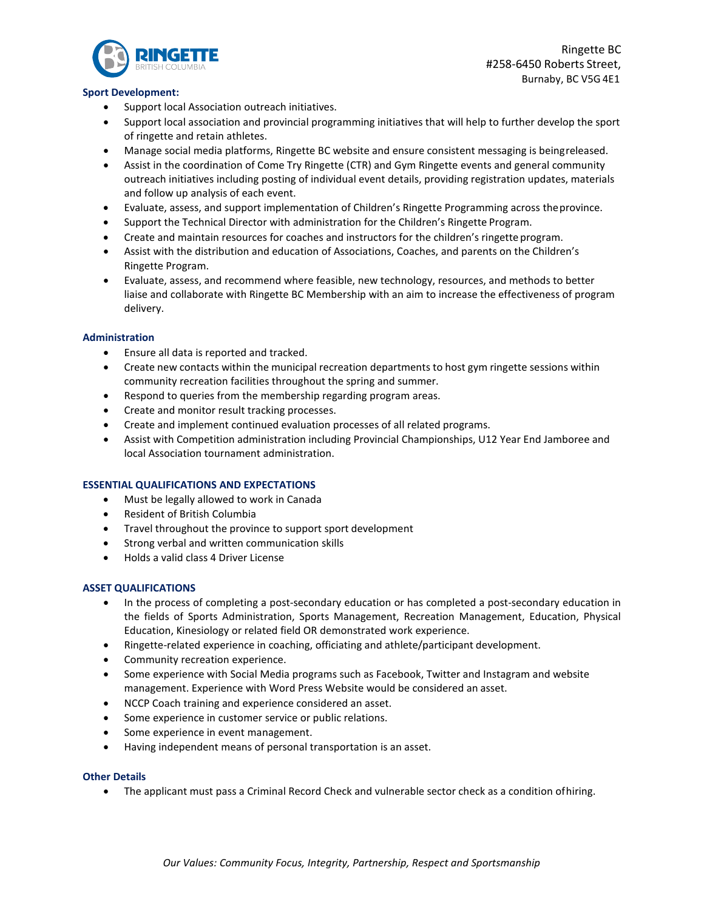

Ringette BC #258-6450 Roberts Street, Burnaby, BC V5G 4E1

## **Sport Development:**

- Support local Association outreach initiatives.
- Support local association and provincial programming initiatives that will help to further develop the sport of ringette and retain athletes.
- Manage social media platforms, Ringette BC website and ensure consistent messaging is beingreleased.
- Assist in the coordination of Come Try Ringette (CTR) and Gym Ringette events and general community outreach initiatives including posting of individual event details, providing registration updates, materials and follow up analysis of each event.
- Evaluate, assess, and support implementation of Children's Ringette Programming across theprovince.
- Support the Technical Director with administration for the Children's Ringette Program.
- Create and maintain resources for coaches and instructors for the children's ringetteprogram.
- Assist with the distribution and education of Associations, Coaches, and parents on the Children's Ringette Program.
- Evaluate, assess, and recommend where feasible, new technology, resources, and methods to better liaise and collaborate with Ringette BC Membership with an aim to increase the effectiveness of program delivery.

## **Administration**

- Ensure all data is reported and tracked.
- Create new contacts within the municipal recreation departments to host gym ringette sessions within community recreation facilities throughout the spring and summer.
- Respond to queries from the membership regarding program areas.
- Create and monitor result tracking processes.
- Create and implement continued evaluation processes of all related programs.
- Assist with Competition administration including Provincial Championships, U12 Year End Jamboree and local Association tournament administration.

## **ESSENTIAL QUALIFICATIONS AND EXPECTATIONS**

- Must be legally allowed to work in Canada
- Resident of British Columbia
- Travel throughout the province to support sport development
- Strong verbal and written communication skills
- Holds a valid class 4 Driver License

#### **ASSET QUALIFICATIONS**

- In the process of completing a post-secondary education or has completed a post-secondary education in the fields of Sports Administration, Sports Management, Recreation Management, Education, Physical Education, Kinesiology or related field OR demonstrated work experience.
- Ringette-related experience in coaching, officiating and athlete/participant development.
- Community recreation experience.
- Some experience with Social Media programs such as Facebook, Twitter and Instagram and website management. Experience with Word Press Website would be considered an asset.
- NCCP Coach training and experience considered an asset.
- Some experience in customer service or public relations.
- Some experience in event management.
- Having independent means of personal transportation is an asset.

#### **Other Details**

• The applicant must pass a Criminal Record Check and vulnerable sector check as a condition ofhiring.